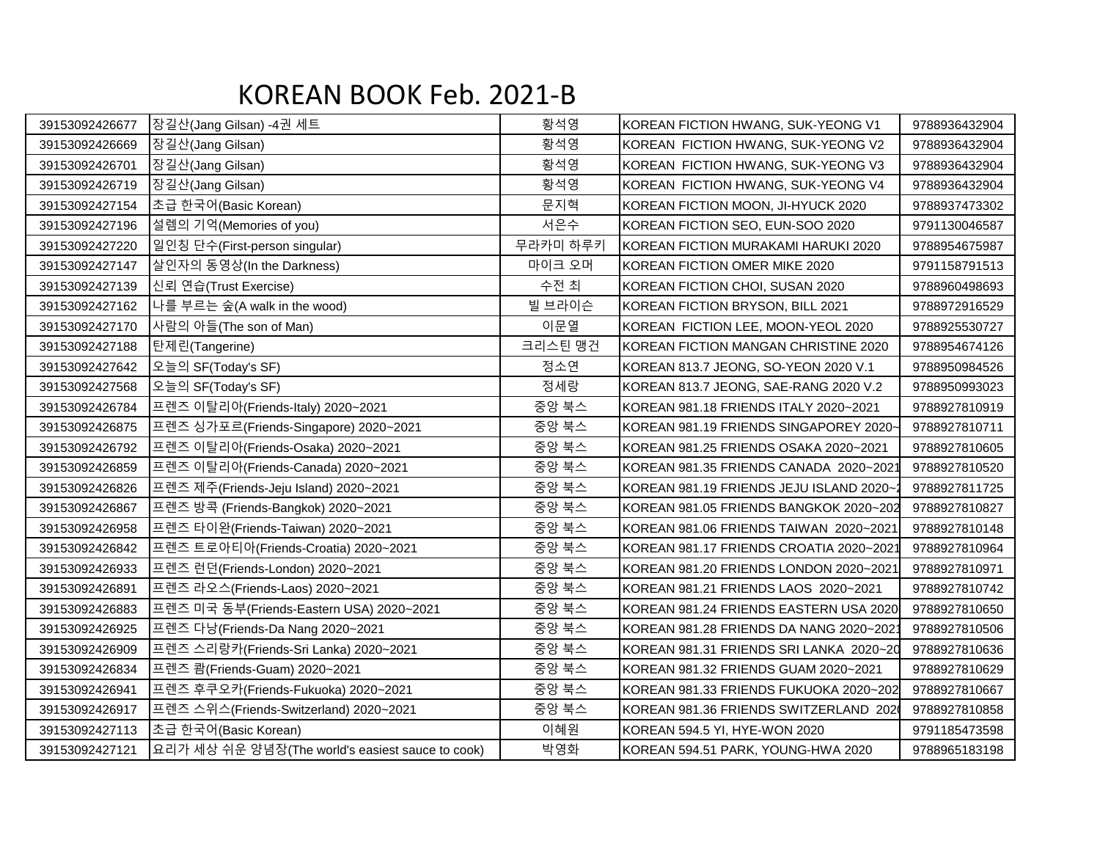## KOREAN BOOK Feb. 2021-B

| 39153092426677 | 장길산(Jang Gilsan) -4권 세트                          | 황석영      | KOREAN FICTION HWANG, SUK-YEONG V1      | 9788936432904 |
|----------------|--------------------------------------------------|----------|-----------------------------------------|---------------|
| 39153092426669 | 장길산(Jang Gilsan)                                 | 황석영      | KOREAN FICTION HWANG, SUK-YEONG V2      | 9788936432904 |
| 39153092426701 | 장길산(Jang Gilsan)                                 | 황석영      | KOREAN FICTION HWANG, SUK-YEONG V3      | 9788936432904 |
| 39153092426719 | 장길산(Jang Gilsan)                                 | 황석영      | KOREAN FICTION HWANG, SUK-YEONG V4      | 9788936432904 |
| 39153092427154 | 초급 한국어(Basic Korean)                             | 문지혁      | KOREAN FICTION MOON, JI-HYUCK 2020      | 9788937473302 |
| 39153092427196 | 설렘의 기억(Memories of you)                          | 서은수      | KOREAN FICTION SEO, EUN-SOO 2020        | 9791130046587 |
| 39153092427220 | 일인칭 단수(First-person singular)                    | 무라카미 하루키 | KOREAN FICTION MURAKAMI HARUKI 2020     | 9788954675987 |
| 39153092427147 | 살인자의 동영상(In the Darkness)                        | 마이크 오머   | KOREAN FICTION OMER MIKE 2020           | 9791158791513 |
| 39153092427139 | 신뢰 연습(Trust Exercise)                            | 수전 최     | KOREAN FICTION CHOI, SUSAN 2020         | 9788960498693 |
| 39153092427162 | 나를 부르는 숲(A walk in the wood)                     | 빌 브라이슨   | KOREAN FICTION BRYSON, BILL 2021        | 9788972916529 |
| 39153092427170 | 사람의 아들(The son of Man)                           | 이문열      | KOREAN FICTION LEE, MOON-YEOL 2020      | 9788925530727 |
| 39153092427188 | 탄제린(Tangerine)                                   | 크리스틴 맹건  | KOREAN FICTION MANGAN CHRISTINE 2020    | 9788954674126 |
| 39153092427642 | 오늘의 SF(Today's SF)                               | 정소연      | KOREAN 813.7 JEONG, SO-YEON 2020 V.1    | 9788950984526 |
| 39153092427568 | 오늘의 SF(Today's SF)                               | 정세랑      | KOREAN 813.7 JEONG, SAE-RANG 2020 V.2   | 9788950993023 |
| 39153092426784 | 프렌즈 이탈리아(Friends-Italy) 2020~2021                | 중앙 북스    | KOREAN 981.18 FRIENDS ITALY 2020~2021   | 9788927810919 |
| 39153092426875 | 프렌즈 싱가포르(Friends-Singapore) 2020~2021            | 중앙 북스    | KOREAN 981.19 FRIENDS SINGAPOREY 2020-  | 9788927810711 |
| 39153092426792 | 프렌즈 이탈리아(Friends-Osaka) 2020~2021                | 중앙 북스    | KOREAN 981.25 FRIENDS OSAKA 2020~2021   | 9788927810605 |
| 39153092426859 | 프렌즈 이탈리아(Friends-Canada) 2020~2021               | 중앙 북스    | KOREAN 981.35 FRIENDS CANADA 2020~2021  | 9788927810520 |
| 39153092426826 | 프렌즈 제주(Friends-Jeju Island) 2020~2021            | 중앙 북스    | KOREAN 981.19 FRIENDS JEJU ISLAND 2020~ | 9788927811725 |
| 39153092426867 | 프렌즈 방콕 (Friends-Bangkok) 2020~2021               | 중앙 북스    | KOREAN 981.05 FRIENDS BANGKOK 2020~202  | 9788927810827 |
| 39153092426958 | 프렌즈 타이완(Friends-Taiwan) 2020~2021                | 중앙 북스    | KOREAN 981.06 FRIENDS TAIWAN 2020~2021  | 9788927810148 |
| 39153092426842 | 프렌즈 트로아티아(Friends-Croatia) 2020~2021             | 중앙 북스    | KOREAN 981.17 FRIENDS CROATIA 2020~2021 | 9788927810964 |
| 39153092426933 | 프렌즈 런던(Friends-London) 2020~2021                 | 중앙 북스    | KOREAN 981.20 FRIENDS LONDON 2020~2021  | 9788927810971 |
| 39153092426891 | 프렌즈 라오스(Friends-Laos) 2020~2021                  | 중앙 북스    | KOREAN 981.21 FRIENDS LAOS 2020~2021    | 9788927810742 |
| 39153092426883 | 프렌즈 미국 동부(Friends-Eastern USA) 2020~2021         | 중앙 북스    | KOREAN 981.24 FRIENDS EASTERN USA 2020  | 9788927810650 |
| 39153092426925 | 프렌즈 다낭(Friends-Da Nang 2020~2021                 | 중앙 북스    | KOREAN 981.28 FRIENDS DA NANG 2020~2021 | 9788927810506 |
| 39153092426909 | 프렌즈 스리랑카(Friends-Sri Lanka) 2020~2021            | 중앙 북스    | KOREAN 981.31 FRIENDS SRI LANKA 2020~20 | 9788927810636 |
| 39153092426834 | 프렌즈 쾀(Friends-Guam) 2020~2021                    | 중앙 북스    | KOREAN 981.32 FRIENDS GUAM 2020~2021    | 9788927810629 |
| 39153092426941 | 프렌즈 후쿠오카(Friends-Fukuoka) 2020~2021              | 중앙 북스    | KOREAN 981.33 FRIENDS FUKUOKA 2020~202  | 9788927810667 |
| 39153092426917 | 프렌즈 스위스(Friends-Switzerland) 2020~2021           | 중앙 북스    | KOREAN 981.36 FRIENDS SWITZERLAND 2020  | 9788927810858 |
| 39153092427113 | 초급 한국어(Basic Korean)                             | 이혜원      | KOREAN 594.5 YI, HYE-WON 2020           | 9791185473598 |
| 39153092427121 | 요리가 세상 쉬운 양념장(The world's easiest sauce to cook) | 박영화      | KOREAN 594.51 PARK, YOUNG-HWA 2020      | 9788965183198 |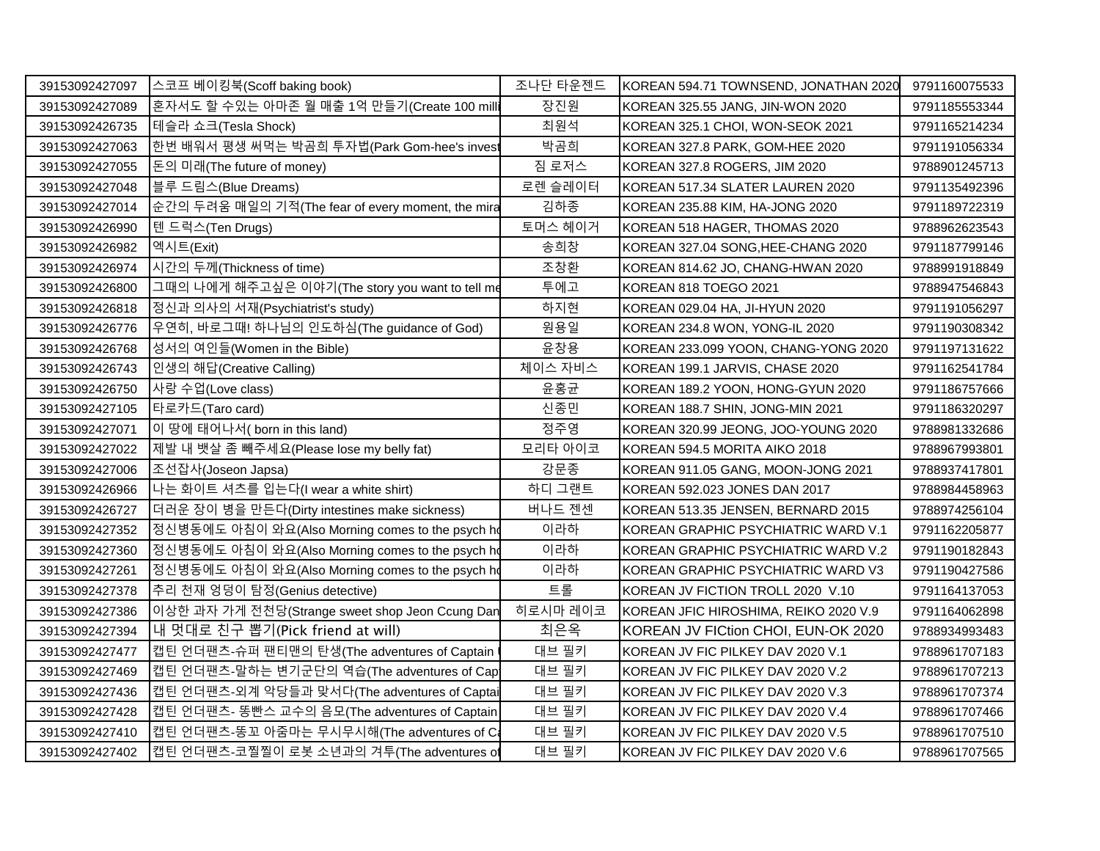| 39153092427097 | 스코프 베이킹북(Scoff baking book)                       | 조나단 타운젠드 | KOREAN 594.71 TOWNSEND, JONATHAN 2020 | 9791160075533 |
|----------------|---------------------------------------------------|----------|---------------------------------------|---------------|
| 39153092427089 | 혼자서도 할 수있는 아마존 월 매출 1억 만들기(Create 100 milli       | 장진원      | KOREAN 325.55 JANG, JIN-WON 2020      | 9791185553344 |
| 39153092426735 | 네들라 쇼크(Tesla Shock)                               | 최원석      | KOREAN 325.1 CHOI, WON-SEOK 2021      | 9791165214234 |
| 39153092427063 | 한번 배워서 평생 써먹는 박곰희 투자법(Park Gom-hee's inves        | 박곰희      | KOREAN 327.8 PARK, GOM-HEE 2020       | 9791191056334 |
| 39153092427055 | 돈의 미래(The future of money)                        | 짐 로저스    | KOREAN 327.8 ROGERS, JIM 2020         | 9788901245713 |
| 39153092427048 | 블루 드림스(Blue Dreams)                               | 로렌 슬레이터  | KOREAN 517.34 SLATER LAUREN 2020      | 9791135492396 |
| 39153092427014 | 순간의 두려움 매일의 기적(The fear of every moment, the mira | 김하종      | KOREAN 235.88 KIM, HA-JONG 2020       | 9791189722319 |
| 39153092426990 | 텐 드럭스(Ten Drugs)                                  | 토머스 헤이거  | KOREAN 518 HAGER, THOMAS 2020         | 9788962623543 |
| 39153092426982 | 엑시트(Exit)                                         | 송희창      | KOREAN 327.04 SONG, HEE-CHANG 2020    | 9791187799146 |
| 39153092426974 | 시간의 두께(Thickness of time)                         | 조창환      | KOREAN 814.62 JO, CHANG-HWAN 2020     | 9788991918849 |
| 39153092426800 | 그때의 나에게 해주고싶은 이야기(The story you want to tell me   | 투에고      | KOREAN 818 TOEGO 2021                 | 9788947546843 |
| 39153092426818 | 정신과 의사의 서재(Psychiatrist's study)                  | 하지현      | KOREAN 029.04 HA, JI-HYUN 2020        | 9791191056297 |
| 39153092426776 | 우연히, 바로그때! 하나님의 인도하심(The guidance of God)         | 원용일      | KOREAN 234.8 WON, YONG-IL 2020        | 9791190308342 |
| 39153092426768 | 성서의 여인들(Women in the Bible)                       | 윤창용      | KOREAN 233.099 YOON, CHANG-YONG 2020  | 9791197131622 |
| 39153092426743 | 인생의 해답(Creative Calling)                          | 체이스 자비스  | KOREAN 199.1 JARVIS, CHASE 2020       | 9791162541784 |
| 39153092426750 | 사랑 수업(Love class)                                 | 윤홍균      | KOREAN 189.2 YOON, HONG-GYUN 2020     | 9791186757666 |
| 39153092427105 | 타로카드(Taro card)                                   | 신종민      | KOREAN 188.7 SHIN, JONG-MIN 2021      | 9791186320297 |
| 39153092427071 | 이 땅에 태어나서(born in this land)                      | 정주영      | KOREAN 320.99 JEONG, JOO-YOUNG 2020   | 9788981332686 |
| 39153092427022 | 제발 내 뱃살 좀 빼주세요(Please lose my belly fat)          | 모리타 아이코  | KOREAN 594.5 MORITA AIKO 2018         | 9788967993801 |
| 39153092427006 | 조선잡사(Joseon Japsa)                                | 강문종      | KOREAN 911.05 GANG, MOON-JONG 2021    | 9788937417801 |
| 39153092426966 | 나는 화이트 셔츠를 입는다(I wear a white shirt)              | 하디 그랜트   | KOREAN 592.023 JONES DAN 2017         | 9788984458963 |
| 39153092426727 | 더러운 장이 병을 만든다(Dirty intestines make sickness)     | 버나드 젠센   | KOREAN 513.35 JENSEN, BERNARD 2015    | 9788974256104 |
| 39153092427352 | 정신병동에도 아침이 와요(Also Morning comes to the psych ho  | 이라하      | KOREAN GRAPHIC PSYCHIATRIC WARD V.1   | 9791162205877 |
| 39153092427360 | 정신병동에도 아침이 와요(Also Morning comes to the psych ho  | 이라하      | KOREAN GRAPHIC PSYCHIATRIC WARD V.2   | 9791190182843 |
| 39153092427261 | 정신병동에도 아침이 와요(Also Morning comes to the psych ho  | 이라하      | KOREAN GRAPHIC PSYCHIATRIC WARD V3    | 9791190427586 |
| 39153092427378 | 추리 천재 엉덩이 탐정(Genius detective)                    | 트롤       | KOREAN JV FICTION TROLL 2020 V.10     | 9791164137053 |
| 39153092427386 | 이상한 과자 가게 전천당(Strange sweet shop Jeon Ccung Dan   | 히로시마 레이코 | KOREAN JFIC HIROSHIMA, REIKO 2020 V.9 | 9791164062898 |
| 39153092427394 | 내 멋대로 친구 뽑기(Pick friend at will)                  | 최은옥      | KOREAN JV FICtion CHOI, EUN-OK 2020   | 9788934993483 |
| 39153092427477 | 캡틴 언더팬츠-슈퍼 팬티맨의 탄생(The adventures of Captain      | 대브 필키    | KOREAN JV FIC PILKEY DAV 2020 V.1     | 9788961707183 |
| 39153092427469 | 캡틴 언더팬츠-말하는 변기군단의 역습(The adventures of Cap        | 대브 필키    | KOREAN JV FIC PILKEY DAV 2020 V.2     | 9788961707213 |
| 39153092427436 | 캡틴 언더팬츠-외계 악당들과 맞서다(The adventures of Captai      | 대브 필키    | KOREAN JV FIC PILKEY DAV 2020 V.3     | 9788961707374 |
| 39153092427428 | 캡틴 언더팬츠- 똥빤스 교수의 음모(The adventures of Captain     | 대브 필키    | KOREAN JV FIC PILKEY DAV 2020 V.4     | 9788961707466 |
| 39153092427410 | 캡틴 언더팬츠-똥꼬 아줌마는 무시무시해(The adventures of Ca        | 대브 필키    | KOREAN JV FIC PILKEY DAV 2020 V.5     | 9788961707510 |
| 39153092427402 | 캡틴 언더팬츠-코찔찔이 로봇 소년과의 겨투(The adventures of         | 대브 필키    | KOREAN JV FIC PILKEY DAV 2020 V.6     | 9788961707565 |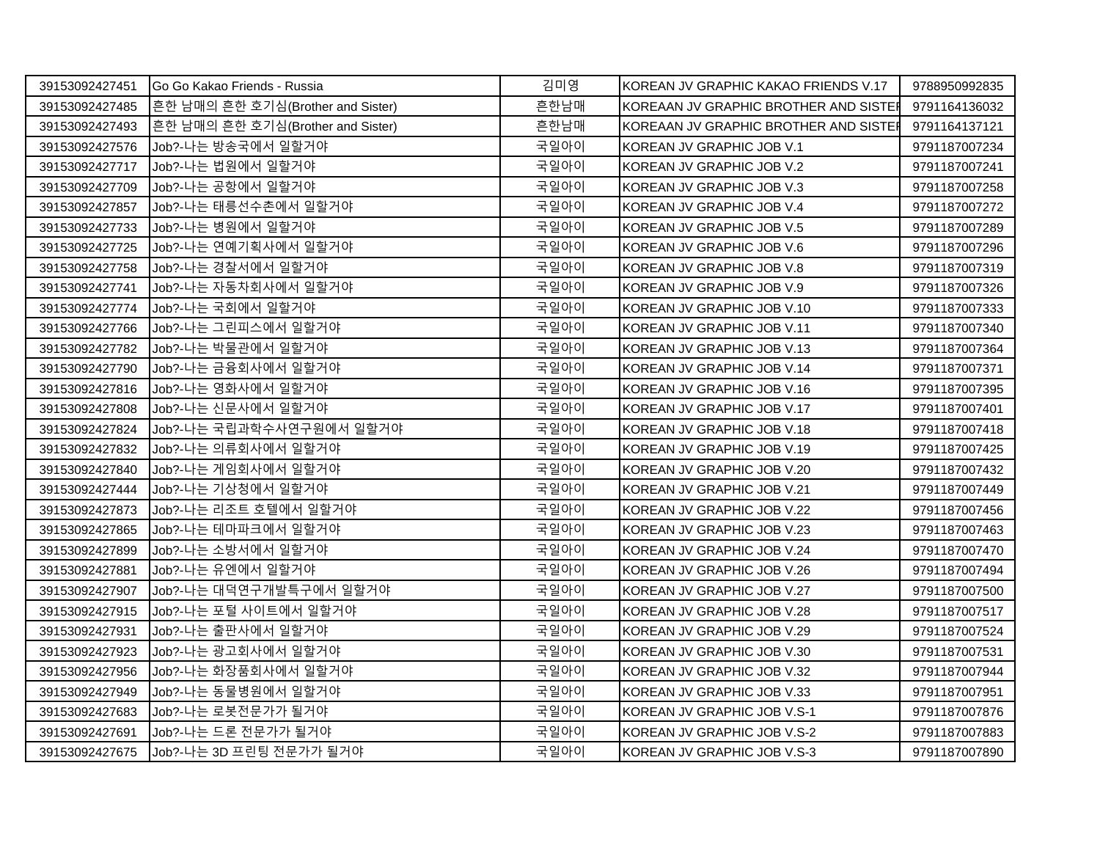| 39153092427451 | IGo Go Kakao Friends - Russia     | 김미영  | KOREAN JV GRAPHIC KAKAO FRIENDS V.17  | 9788950992835 |
|----------------|-----------------------------------|------|---------------------------------------|---------------|
| 39153092427485 | 흔한 남매의 흔한 호기심(Brother and Sister) | 흔한남매 | KOREAAN JV GRAPHIC BROTHER AND SISTEI | 9791164136032 |
| 39153092427493 | 흔한 남매의 흔한 호기심(Brother and Sister) | 흔한남매 | KOREAAN JV GRAPHIC BROTHER AND SISTEI | 9791164137121 |
| 39153092427576 | Job?-나는 방송국에서 일할거야                | 국일아이 | KOREAN JV GRAPHIC JOB V.1             | 9791187007234 |
| 39153092427717 | Job?-나는 법원에서 일할거야                 | 국일아이 | KOREAN JV GRAPHIC JOB V.2             | 9791187007241 |
| 39153092427709 | Job?-나는 공항에서 일할거야                 | 국일아이 | KOREAN JV GRAPHIC JOB V.3             | 9791187007258 |
| 39153092427857 | Job?-나는 태릉선수촌에서 일할거야              | 국일아이 | KOREAN JV GRAPHIC JOB V.4             | 9791187007272 |
| 39153092427733 | Job?-나는 병원에서 일할거야                 | 국일아이 | KOREAN JV GRAPHIC JOB V.5             | 9791187007289 |
| 39153092427725 | Job?-나는 연예기획사에서 일할거야              | 국일아이 | KOREAN JV GRAPHIC JOB V.6             | 9791187007296 |
| 39153092427758 | Job?-나는 경찰서에서 일할거야                | 국일아이 | KOREAN JV GRAPHIC JOB V.8             | 9791187007319 |
| 39153092427741 | Job?-나는 자동차회사에서 일할거야              | 국일아이 | KOREAN JV GRAPHIC JOB V.9             | 9791187007326 |
| 39153092427774 | Job?-나는 국회에서 일할거야                 | 국일아이 | KOREAN JV GRAPHIC JOB V.10            | 9791187007333 |
| 39153092427766 | Job?-나는 그린피스에서 일할거야               | 국일아이 | KOREAN JV GRAPHIC JOB V.11            | 9791187007340 |
| 39153092427782 | Job?-나는 박물관에서 일할거야                | 국일아이 | KOREAN JV GRAPHIC JOB V.13            | 9791187007364 |
| 39153092427790 | Job?-나는 금융회사에서 일할거야               | 국일아이 | IKOREAN JV GRAPHIC JOB V.14           | 9791187007371 |
| 39153092427816 | Job?-나는 영화사에서 일할거야                | 국일아이 | KOREAN JV GRAPHIC JOB V.16            | 9791187007395 |
| 39153092427808 | Job?-나는 신문사에서 일할거야                | 국일아이 | KOREAN JV GRAPHIC JOB V.17            | 9791187007401 |
| 39153092427824 | Job?-나는 국립과학수사연구원에서 일할거야          | 국일아이 | KOREAN JV GRAPHIC JOB V.18            | 9791187007418 |
| 39153092427832 | Job?-나는 의류회사에서 일할거야               | 국일아이 | KOREAN JV GRAPHIC JOB V.19            | 9791187007425 |
| 39153092427840 | Job?-나는 게임회사에서 일할거야               | 국일아이 | KOREAN JV GRAPHIC JOB V.20            | 9791187007432 |
| 39153092427444 | Job?-나는 기상청에서 일할거야                | 국일아이 | KOREAN JV GRAPHIC JOB V.21            | 9791187007449 |
| 39153092427873 | Job?-나는 리조트 호텔에서 일할거야             | 국일아이 | KOREAN JV GRAPHIC JOB V.22            | 9791187007456 |
| 39153092427865 | Job?-나는 테마파크에서 일할거야               | 국일아이 | KOREAN JV GRAPHIC JOB V.23            | 9791187007463 |
| 39153092427899 | Job?-나는 소방서에서 일할거야                | 국일아이 | KOREAN JV GRAPHIC JOB V.24            | 9791187007470 |
| 39153092427881 | Job?-나는 유엔에서 일할거야                 | 국일아이 | KOREAN JV GRAPHIC JOB V.26            | 9791187007494 |
| 39153092427907 | Job?-나는 대덕연구개발특구에서 일할거야           | 국일아이 | KOREAN JV GRAPHIC JOB V.27            | 9791187007500 |
| 39153092427915 | Job?-나는 포털 사이트에서 일할거야             | 국일아이 | KOREAN JV GRAPHIC JOB V.28            | 9791187007517 |
| 39153092427931 | Job?-나는 출판사에서 일할거야                | 국일아이 | KOREAN JV GRAPHIC JOB V.29            | 9791187007524 |
| 39153092427923 | Job?-나는 광고회사에서 일할거야               | 국일아이 | KOREAN JV GRAPHIC JOB V.30            | 9791187007531 |
| 39153092427956 | Job?-나는 화장품회사에서 일할거야              | 국일아이 | KOREAN JV GRAPHIC JOB V.32            | 9791187007944 |
| 39153092427949 | Job?-나는 동물병원에서 일할거야               | 국일아이 | KOREAN JV GRAPHIC JOB V.33            | 9791187007951 |
| 39153092427683 | Job?-나는 로봇전문가가 될거야                | 국일아이 | KOREAN JV GRAPHIC JOB V.S-1           | 9791187007876 |
| 39153092427691 | Job?-나는 드론 전문가가 될거야               | 국일아이 | KOREAN JV GRAPHIC JOB V.S-2           | 9791187007883 |
| 39153092427675 | Job?-나는 3D 프린팅 전문가가 될거야           | 국일아이 | KOREAN JV GRAPHIC JOB V.S-3           | 9791187007890 |